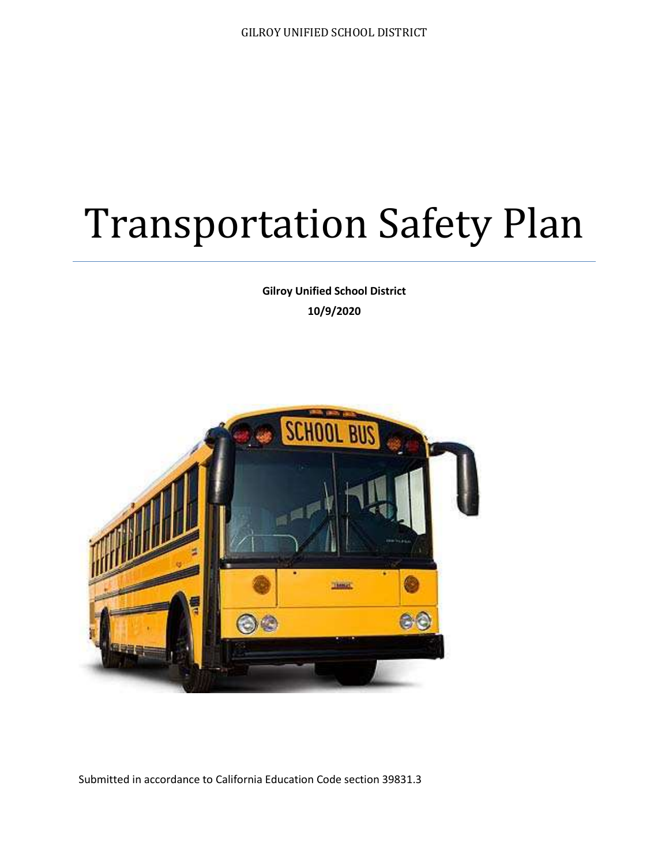# Transportation Safety Plan

**Gilroy Unified School District 10/9/2020**



Submitted in accordance to California Education Code section 39831.3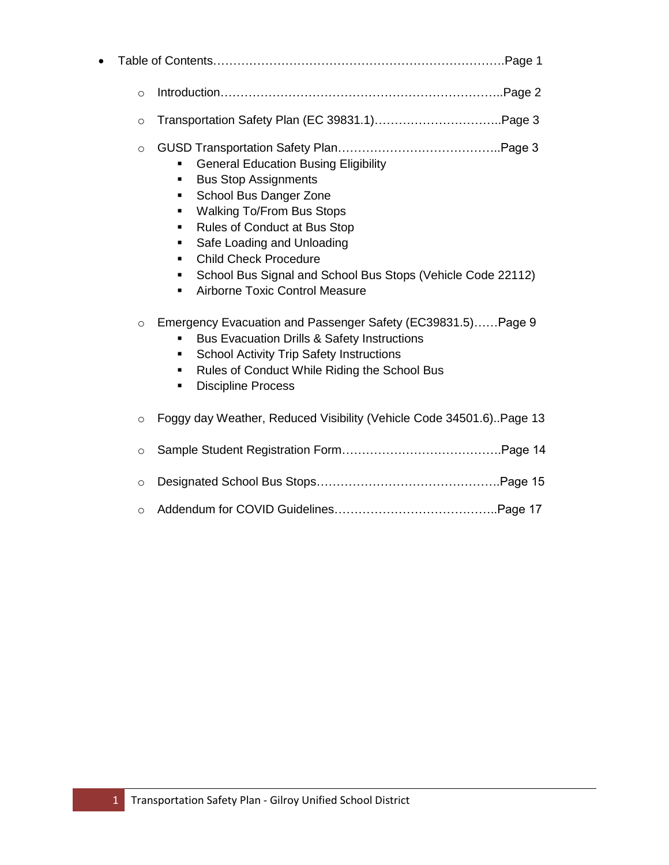| $\circ$ |                                                                                                                                                                                                                                                                                                                                                                              |
|---------|------------------------------------------------------------------------------------------------------------------------------------------------------------------------------------------------------------------------------------------------------------------------------------------------------------------------------------------------------------------------------|
| $\circ$ |                                                                                                                                                                                                                                                                                                                                                                              |
| $\circ$ | <b>General Education Busing Eligibility</b><br><b>Bus Stop Assignments</b><br>٠<br>School Bus Danger Zone<br><b>Walking To/From Bus Stops</b><br>٠<br>Rules of Conduct at Bus Stop<br>٠<br>Safe Loading and Unloading<br>٠<br><b>Child Check Procedure</b><br>School Bus Signal and School Bus Stops (Vehicle Code 22112)<br>٠<br><b>Airborne Toxic Control Measure</b><br>٠ |
| $\circ$ | Emergency Evacuation and Passenger Safety (EC39831.5)Page 9<br><b>Bus Evacuation Drills &amp; Safety Instructions</b><br>٠<br><b>School Activity Trip Safety Instructions</b><br>٠<br>Rules of Conduct While Riding the School Bus<br><b>Discipline Process</b><br>٠                                                                                                         |
| $\circ$ | Foggy day Weather, Reduced Visibility (Vehicle Code 34501.6). Page 13                                                                                                                                                                                                                                                                                                        |
| $\circ$ |                                                                                                                                                                                                                                                                                                                                                                              |
| $\circ$ |                                                                                                                                                                                                                                                                                                                                                                              |
| $\circ$ |                                                                                                                                                                                                                                                                                                                                                                              |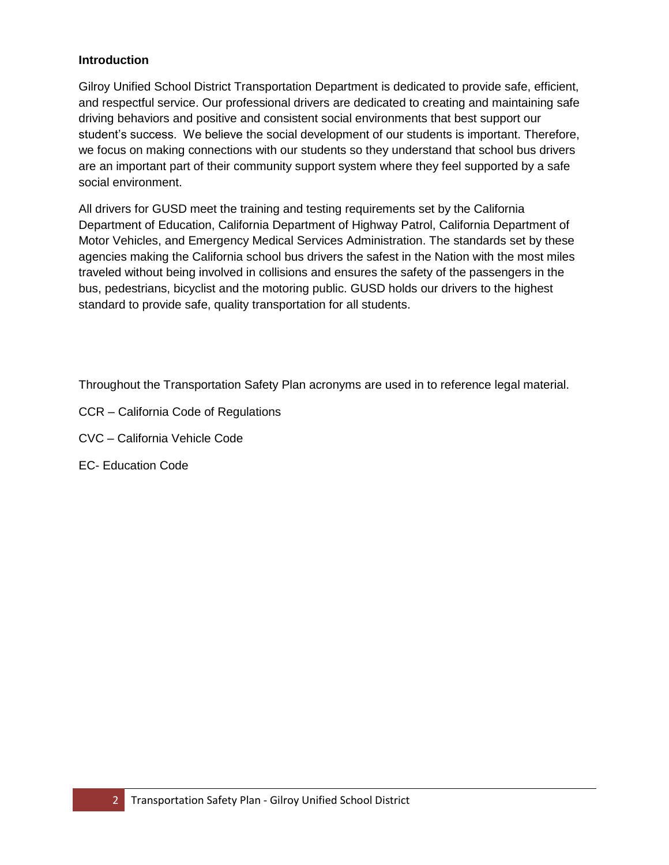## **Introduction**

Gilroy Unified School District Transportation Department is dedicated to provide safe, efficient, and respectful service. Our professional drivers are dedicated to creating and maintaining safe driving behaviors and positive and consistent social environments that best support our student's success. We believe the social development of our students is important. Therefore, we focus on making connections with our students so they understand that school bus drivers are an important part of their community support system where they feel supported by a safe social environment.

All drivers for GUSD meet the training and testing requirements set by the California Department of Education, California Department of Highway Patrol, California Department of Motor Vehicles, and Emergency Medical Services Administration. The standards set by these agencies making the California school bus drivers the safest in the Nation with the most miles traveled without being involved in collisions and ensures the safety of the passengers in the bus, pedestrians, bicyclist and the motoring public. GUSD holds our drivers to the highest standard to provide safe, quality transportation for all students.

Throughout the Transportation Safety Plan acronyms are used in to reference legal material.

- CCR California Code of Regulations
- CVC California Vehicle Code
- EC- Education Code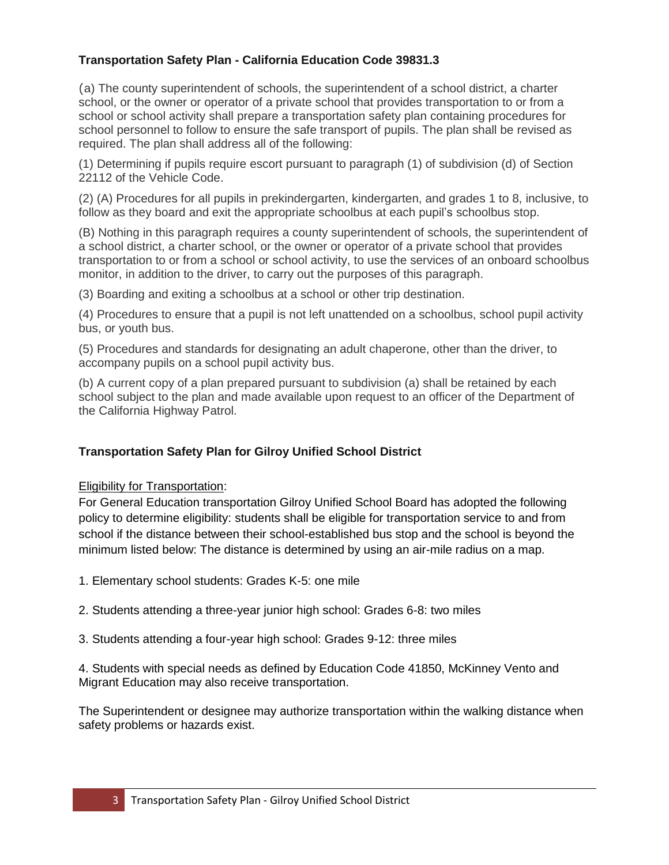# **Transportation Safety Plan - California Education Code 39831.3**

(a) The county superintendent of schools, the superintendent of a school district, a charter school, or the owner or operator of a private school that provides transportation to or from a school or school activity shall prepare a transportation safety plan containing procedures for school personnel to follow to ensure the safe transport of pupils. The plan shall be revised as required. The plan shall address all of the following:

(1) Determining if pupils require escort pursuant to paragraph (1) of subdivision (d) of Section 22112 of the Vehicle Code.

(2) (A) Procedures for all pupils in prekindergarten, kindergarten, and grades 1 to 8, inclusive, to follow as they board and exit the appropriate schoolbus at each pupil's schoolbus stop.

(B) Nothing in this paragraph requires a county superintendent of schools, the superintendent of a school district, a charter school, or the owner or operator of a private school that provides transportation to or from a school or school activity, to use the services of an onboard schoolbus monitor, in addition to the driver, to carry out the purposes of this paragraph.

(3) Boarding and exiting a schoolbus at a school or other trip destination.

(4) Procedures to ensure that a pupil is not left unattended on a schoolbus, school pupil activity bus, or youth bus.

(5) Procedures and standards for designating an adult chaperone, other than the driver, to accompany pupils on a school pupil activity bus.

(b) A current copy of a plan prepared pursuant to subdivision (a) shall be retained by each school subject to the plan and made available upon request to an officer of the Department of the California Highway Patrol.

# **Transportation Safety Plan for Gilroy Unified School District**

Eligibility for Transportation:

For General Education transportation Gilroy Unified School Board has adopted the following policy to determine eligibility: students shall be eligible for transportation service to and from school if the distance between their school-established bus stop and the school is beyond the minimum listed below: The distance is determined by using an air-mile radius on a map.

1. Elementary school students: Grades K-5: one mile

2. Students attending a three-year junior high school: Grades 6-8: two miles

3. Students attending a four-year high school: Grades 9-12: three miles

4. Students with special needs as defined by Education Code 41850, McKinney Vento and Migrant Education may also receive transportation.

The Superintendent or designee may authorize transportation within the walking distance when safety problems or hazards exist.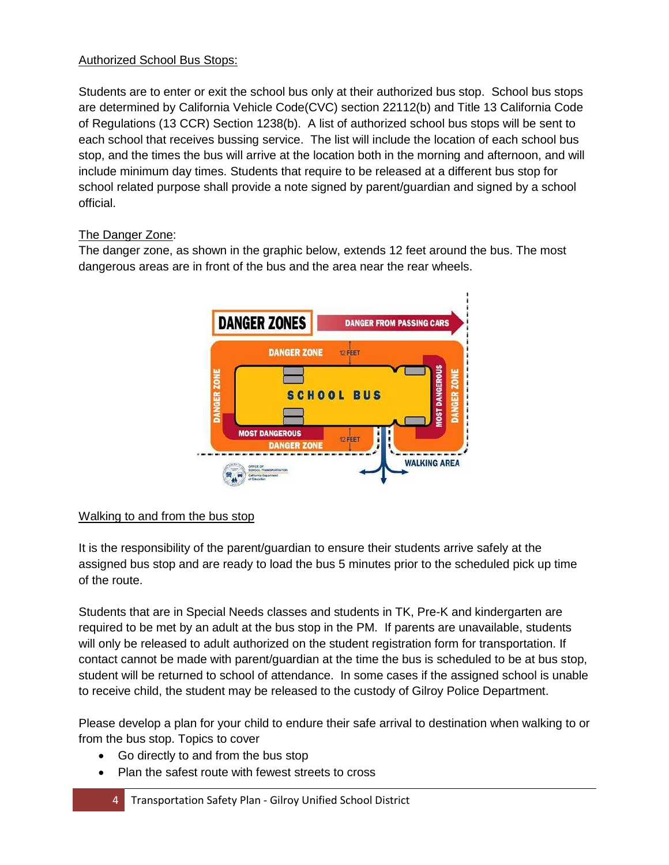# Authorized School Bus Stops:

Students are to enter or exit the school bus only at their authorized bus stop. School bus stops are determined by California Vehicle Code(CVC) section 22112(b) and Title 13 California Code of Regulations (13 CCR) Section 1238(b). A list of authorized school bus stops will be sent to each school that receives bussing service. The list will include the location of each school bus stop, and the times the bus will arrive at the location both in the morning and afternoon, and will include minimum day times. Students that require to be released at a different bus stop for school related purpose shall provide a note signed by parent/guardian and signed by a school official.

# The Danger Zone:

The danger zone, as shown in the graphic below, extends 12 feet around the bus. The most dangerous areas are in front of the bus and the area near the rear wheels.



# Walking to and from the bus stop

It is the responsibility of the parent/guardian to ensure their students arrive safely at the assigned bus stop and are ready to load the bus 5 minutes prior to the scheduled pick up time of the route.

Students that are in Special Needs classes and students in TK, Pre-K and kindergarten are required to be met by an adult at the bus stop in the PM. If parents are unavailable, students will only be released to adult authorized on the student registration form for transportation. If contact cannot be made with parent/guardian at the time the bus is scheduled to be at bus stop, student will be returned to school of attendance. In some cases if the assigned school is unable to receive child, the student may be released to the custody of Gilroy Police Department.

Please develop a plan for your child to endure their safe arrival to destination when walking to or from the bus stop. Topics to cover

- Go directly to and from the bus stop
- Plan the safest route with fewest streets to cross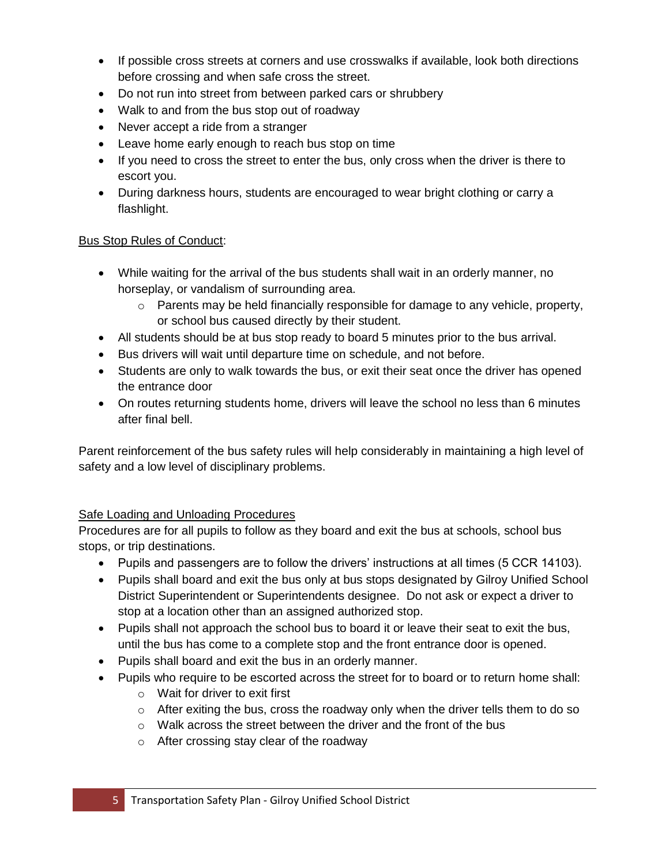- If possible cross streets at corners and use crosswalks if available, look both directions before crossing and when safe cross the street.
- Do not run into street from between parked cars or shrubbery
- Walk to and from the bus stop out of roadway
- Never accept a ride from a stranger
- Leave home early enough to reach bus stop on time
- If you need to cross the street to enter the bus, only cross when the driver is there to escort you.
- During darkness hours, students are encouraged to wear bright clothing or carry a flashlight.

## Bus Stop Rules of Conduct:

- While waiting for the arrival of the bus students shall wait in an orderly manner, no horseplay, or vandalism of surrounding area.
	- o Parents may be held financially responsible for damage to any vehicle, property, or school bus caused directly by their student.
- All students should be at bus stop ready to board 5 minutes prior to the bus arrival.
- Bus drivers will wait until departure time on schedule, and not before.
- Students are only to walk towards the bus, or exit their seat once the driver has opened the entrance door
- On routes returning students home, drivers will leave the school no less than 6 minutes after final bell.

Parent reinforcement of the bus safety rules will help considerably in maintaining a high level of safety and a low level of disciplinary problems.

# Safe Loading and Unloading Procedures

Procedures are for all pupils to follow as they board and exit the bus at schools, school bus stops, or trip destinations.

- Pupils and passengers are to follow the drivers' instructions at all times (5 CCR 14103).
- Pupils shall board and exit the bus only at bus stops designated by Gilroy Unified School District Superintendent or Superintendents designee. Do not ask or expect a driver to stop at a location other than an assigned authorized stop.
- Pupils shall not approach the school bus to board it or leave their seat to exit the bus, until the bus has come to a complete stop and the front entrance door is opened.
- Pupils shall board and exit the bus in an orderly manner.
- Pupils who require to be escorted across the street for to board or to return home shall:
	- o Wait for driver to exit first
	- $\circ$  After exiting the bus, cross the roadway only when the driver tells them to do so
	- o Walk across the street between the driver and the front of the bus
	- o After crossing stay clear of the roadway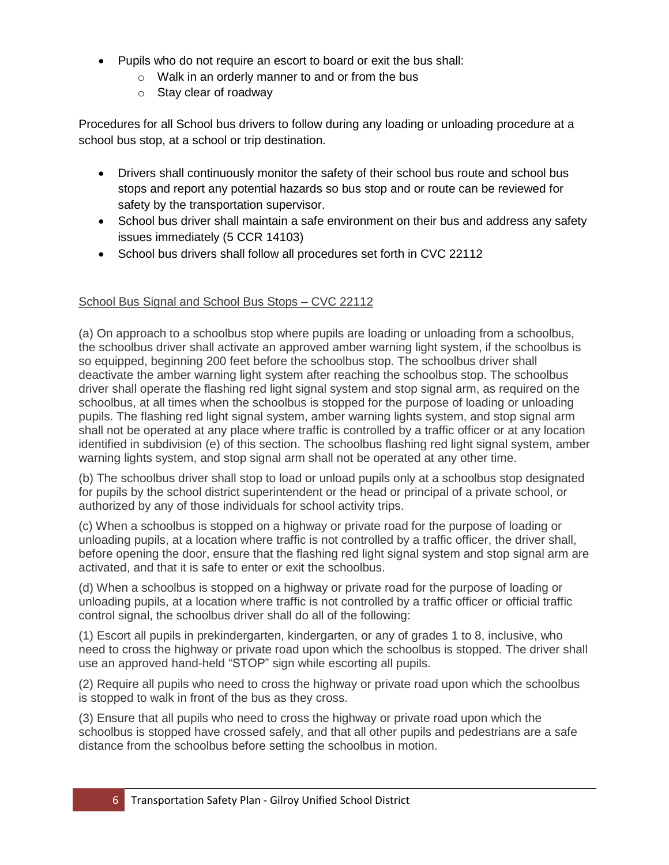- Pupils who do not require an escort to board or exit the bus shall:
	- o Walk in an orderly manner to and or from the bus
	- o Stay clear of roadway

Procedures for all School bus drivers to follow during any loading or unloading procedure at a school bus stop, at a school or trip destination.

- Drivers shall continuously monitor the safety of their school bus route and school bus stops and report any potential hazards so bus stop and or route can be reviewed for safety by the transportation supervisor.
- School bus driver shall maintain a safe environment on their bus and address any safety issues immediately (5 CCR 14103)
- School bus drivers shall follow all procedures set forth in CVC 22112

# School Bus Signal and School Bus Stops – CVC 22112

(a) On approach to a schoolbus stop where pupils are loading or unloading from a schoolbus, the schoolbus driver shall activate an approved amber warning light system, if the schoolbus is so equipped, beginning 200 feet before the schoolbus stop. The schoolbus driver shall deactivate the amber warning light system after reaching the schoolbus stop. The schoolbus driver shall operate the flashing red light signal system and stop signal arm, as required on the schoolbus, at all times when the schoolbus is stopped for the purpose of loading or unloading pupils. The flashing red light signal system, amber warning lights system, and stop signal arm shall not be operated at any place where traffic is controlled by a traffic officer or at any location identified in subdivision (e) of this section. The schoolbus flashing red light signal system, amber warning lights system, and stop signal arm shall not be operated at any other time.

(b) The schoolbus driver shall stop to load or unload pupils only at a schoolbus stop designated for pupils by the school district superintendent or the head or principal of a private school, or authorized by any of those individuals for school activity trips.

(c) When a schoolbus is stopped on a highway or private road for the purpose of loading or unloading pupils, at a location where traffic is not controlled by a traffic officer, the driver shall, before opening the door, ensure that the flashing red light signal system and stop signal arm are activated, and that it is safe to enter or exit the schoolbus.

(d) When a schoolbus is stopped on a highway or private road for the purpose of loading or unloading pupils, at a location where traffic is not controlled by a traffic officer or official traffic control signal, the schoolbus driver shall do all of the following:

(1) Escort all pupils in prekindergarten, kindergarten, or any of grades 1 to 8, inclusive, who need to cross the highway or private road upon which the schoolbus is stopped. The driver shall use an approved hand-held "STOP" sign while escorting all pupils.

(2) Require all pupils who need to cross the highway or private road upon which the schoolbus is stopped to walk in front of the bus as they cross.

(3) Ensure that all pupils who need to cross the highway or private road upon which the schoolbus is stopped have crossed safely, and that all other pupils and pedestrians are a safe distance from the schoolbus before setting the schoolbus in motion.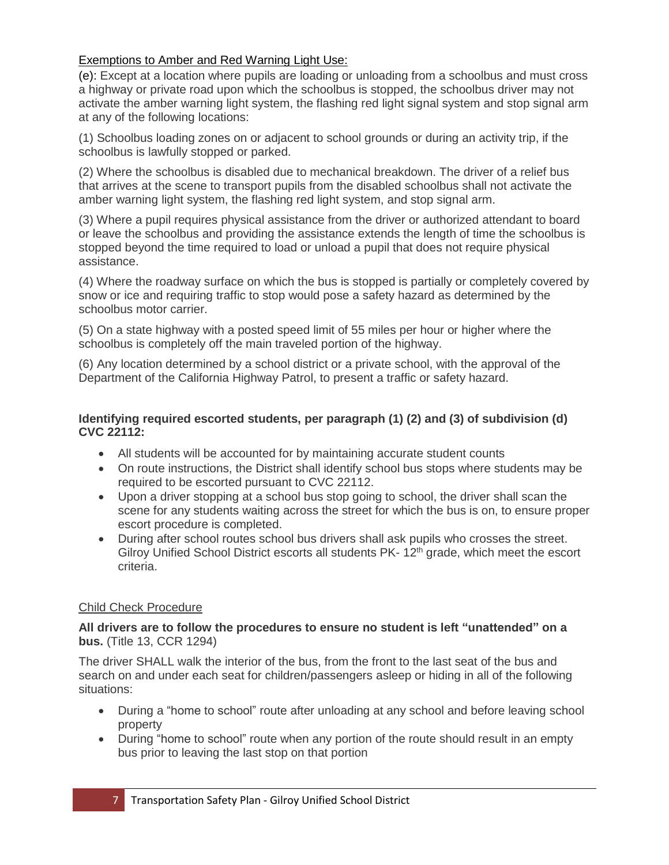# Exemptions to Amber and Red Warning Light Use:

(e): Except at a location where pupils are loading or unloading from a schoolbus and must cross a highway or private road upon which the schoolbus is stopped, the schoolbus driver may not activate the amber warning light system, the flashing red light signal system and stop signal arm at any of the following locations:

(1) Schoolbus loading zones on or adjacent to school grounds or during an activity trip, if the schoolbus is lawfully stopped or parked.

(2) Where the schoolbus is disabled due to mechanical breakdown. The driver of a relief bus that arrives at the scene to transport pupils from the disabled schoolbus shall not activate the amber warning light system, the flashing red light system, and stop signal arm.

(3) Where a pupil requires physical assistance from the driver or authorized attendant to board or leave the schoolbus and providing the assistance extends the length of time the schoolbus is stopped beyond the time required to load or unload a pupil that does not require physical assistance.

(4) Where the roadway surface on which the bus is stopped is partially or completely covered by snow or ice and requiring traffic to stop would pose a safety hazard as determined by the schoolbus motor carrier.

(5) On a state highway with a posted speed limit of 55 miles per hour or higher where the schoolbus is completely off the main traveled portion of the highway.

(6) Any location determined by a school district or a private school, with the approval of the Department of the California Highway Patrol, to present a traffic or safety hazard.

## **Identifying required escorted students, per paragraph (1) (2) and (3) of subdivision (d) CVC 22112:**

- All students will be accounted for by maintaining accurate student counts
- On route instructions, the District shall identify school bus stops where students may be required to be escorted pursuant to CVC 22112.
- Upon a driver stopping at a school bus stop going to school, the driver shall scan the scene for any students waiting across the street for which the bus is on, to ensure proper escort procedure is completed.
- During after school routes school bus drivers shall ask pupils who crosses the street. Gilroy Unified School District escorts all students PK- 12<sup>th</sup> grade, which meet the escort criteria.

# Child Check Procedure

#### **All drivers are to follow the procedures to ensure no student is left "unattended" on a bus.** (Title 13, CCR 1294)

The driver SHALL walk the interior of the bus, from the front to the last seat of the bus and search on and under each seat for children/passengers asleep or hiding in all of the following situations:

- During a "home to school" route after unloading at any school and before leaving school property
- During "home to school" route when any portion of the route should result in an empty bus prior to leaving the last stop on that portion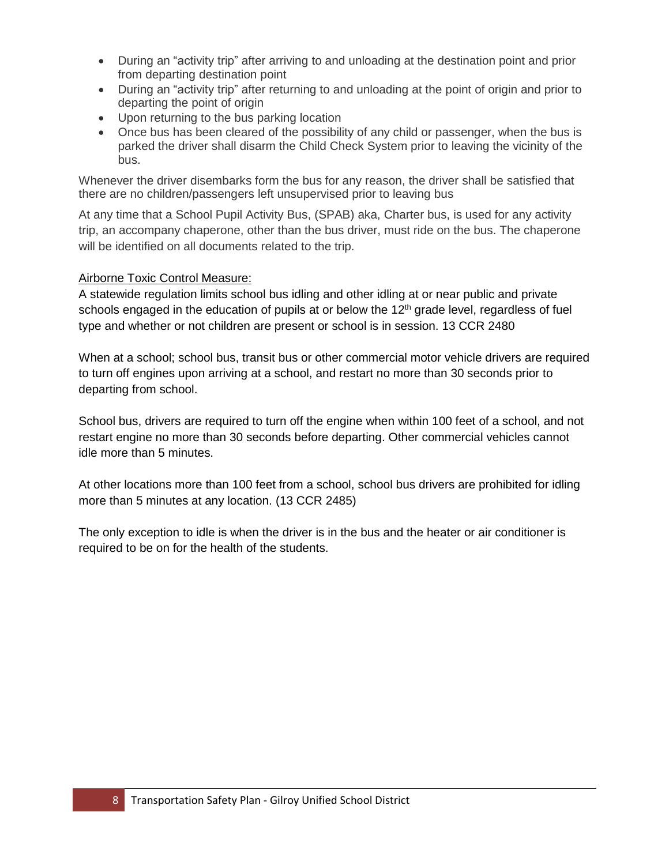- During an "activity trip" after arriving to and unloading at the destination point and prior from departing destination point
- During an "activity trip" after returning to and unloading at the point of origin and prior to departing the point of origin
- Upon returning to the bus parking location
- Once bus has been cleared of the possibility of any child or passenger, when the bus is parked the driver shall disarm the Child Check System prior to leaving the vicinity of the bus.

Whenever the driver disembarks form the bus for any reason, the driver shall be satisfied that there are no children/passengers left unsupervised prior to leaving bus

At any time that a School Pupil Activity Bus, (SPAB) aka, Charter bus, is used for any activity trip, an accompany chaperone, other than the bus driver, must ride on the bus. The chaperone will be identified on all documents related to the trip.

#### Airborne Toxic Control Measure:

A statewide regulation limits school bus idling and other idling at or near public and private schools engaged in the education of pupils at or below the  $12<sup>th</sup>$  grade level, regardless of fuel type and whether or not children are present or school is in session. 13 CCR 2480

When at a school; school bus, transit bus or other commercial motor vehicle drivers are required to turn off engines upon arriving at a school, and restart no more than 30 seconds prior to departing from school.

School bus, drivers are required to turn off the engine when within 100 feet of a school, and not restart engine no more than 30 seconds before departing. Other commercial vehicles cannot idle more than 5 minutes.

At other locations more than 100 feet from a school, school bus drivers are prohibited for idling more than 5 minutes at any location. (13 CCR 2485)

The only exception to idle is when the driver is in the bus and the heater or air conditioner is required to be on for the health of the students.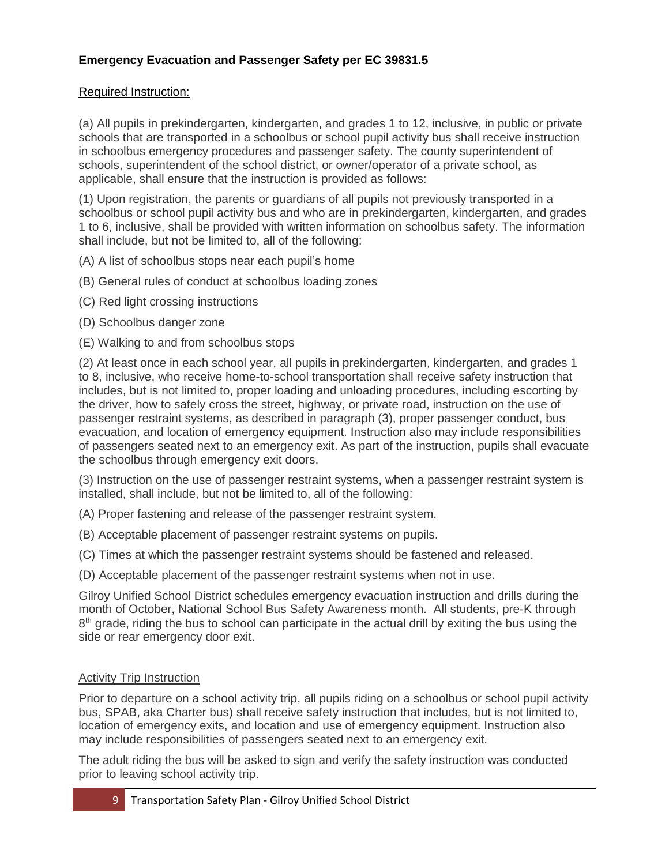# **Emergency Evacuation and Passenger Safety per EC 39831.5**

# Required Instruction:

(a) All pupils in prekindergarten, kindergarten, and grades 1 to 12, inclusive, in public or private schools that are transported in a schoolbus or school pupil activity bus shall receive instruction in schoolbus emergency procedures and passenger safety. The county superintendent of schools, superintendent of the school district, or owner/operator of a private school, as applicable, shall ensure that the instruction is provided as follows:

(1) Upon registration, the parents or guardians of all pupils not previously transported in a schoolbus or school pupil activity bus and who are in prekindergarten, kindergarten, and grades 1 to 6, inclusive, shall be provided with written information on schoolbus safety. The information shall include, but not be limited to, all of the following:

- (A) A list of schoolbus stops near each pupil's home
- (B) General rules of conduct at schoolbus loading zones
- (C) Red light crossing instructions
- (D) Schoolbus danger zone
- (E) Walking to and from schoolbus stops

(2) At least once in each school year, all pupils in prekindergarten, kindergarten, and grades 1 to 8, inclusive, who receive home-to-school transportation shall receive safety instruction that includes, but is not limited to, proper loading and unloading procedures, including escorting by the driver, how to safely cross the street, highway, or private road, instruction on the use of passenger restraint systems, as described in paragraph (3), proper passenger conduct, bus evacuation, and location of emergency equipment. Instruction also may include responsibilities of passengers seated next to an emergency exit. As part of the instruction, pupils shall evacuate the schoolbus through emergency exit doors.

(3) Instruction on the use of passenger restraint systems, when a passenger restraint system is installed, shall include, but not be limited to, all of the following:

- (A) Proper fastening and release of the passenger restraint system.
- (B) Acceptable placement of passenger restraint systems on pupils.
- (C) Times at which the passenger restraint systems should be fastened and released.
- (D) Acceptable placement of the passenger restraint systems when not in use.

Gilroy Unified School District schedules emergency evacuation instruction and drills during the month of October, National School Bus Safety Awareness month. All students, pre-K through 8<sup>th</sup> grade, riding the bus to school can participate in the actual drill by exiting the bus using the side or rear emergency door exit.

#### Activity Trip Instruction

Prior to departure on a school activity trip, all pupils riding on a schoolbus or school pupil activity bus, SPAB, aka Charter bus) shall receive safety instruction that includes, but is not limited to, location of emergency exits, and location and use of emergency equipment. Instruction also may include responsibilities of passengers seated next to an emergency exit.

The adult riding the bus will be asked to sign and verify the safety instruction was conducted prior to leaving school activity trip.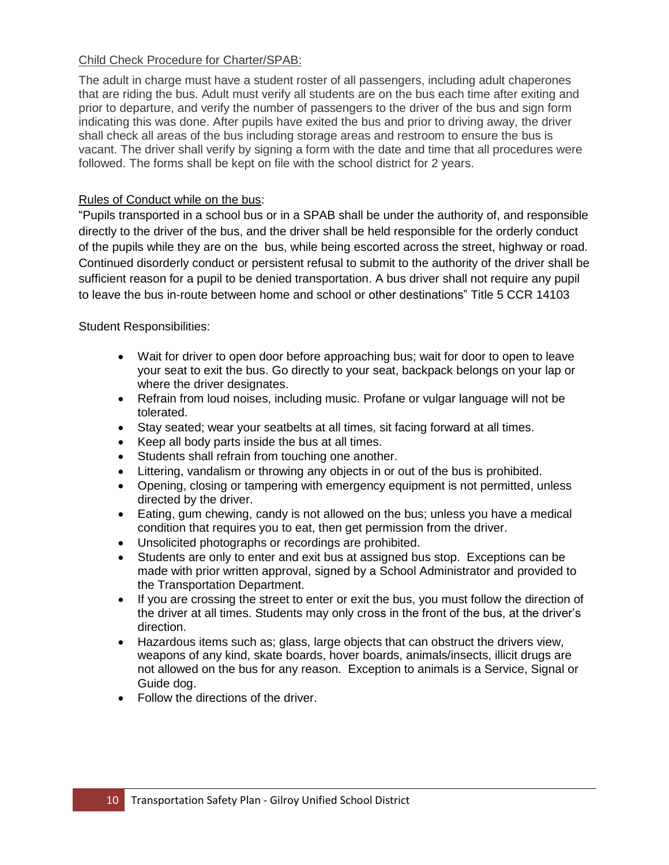## Child Check Procedure for Charter/SPAB:

The adult in charge must have a student roster of all passengers, including adult chaperones that are riding the bus. Adult must verify all students are on the bus each time after exiting and prior to departure, and verify the number of passengers to the driver of the bus and sign form indicating this was done. After pupils have exited the bus and prior to driving away, the driver shall check all areas of the bus including storage areas and restroom to ensure the bus is vacant. The driver shall verify by signing a form with the date and time that all procedures were followed. The forms shall be kept on file with the school district for 2 years.

## Rules of Conduct while on the bus:

"Pupils transported in a school bus or in a SPAB shall be under the authority of, and responsible directly to the driver of the bus, and the driver shall be held responsible for the orderly conduct of the pupils while they are on the bus, while being escorted across the street, highway or road. Continued disorderly conduct or persistent refusal to submit to the authority of the driver shall be sufficient reason for a pupil to be denied transportation. A bus driver shall not require any pupil to leave the bus in-route between home and school or other destinations" Title 5 CCR 14103

Student Responsibilities:

- Wait for driver to open door before approaching bus; wait for door to open to leave your seat to exit the bus. Go directly to your seat, backpack belongs on your lap or where the driver designates.
- Refrain from loud noises, including music. Profane or vulgar language will not be tolerated.
- Stay seated; wear your seatbelts at all times, sit facing forward at all times.
- Keep all body parts inside the bus at all times.
- Students shall refrain from touching one another.
- Littering, vandalism or throwing any objects in or out of the bus is prohibited.
- Opening, closing or tampering with emergency equipment is not permitted, unless directed by the driver.
- Eating, gum chewing, candy is not allowed on the bus; unless you have a medical condition that requires you to eat, then get permission from the driver.
- Unsolicited photographs or recordings are prohibited.
- Students are only to enter and exit bus at assigned bus stop. Exceptions can be made with prior written approval, signed by a School Administrator and provided to the Transportation Department.
- If you are crossing the street to enter or exit the bus, you must follow the direction of the driver at all times. Students may only cross in the front of the bus, at the driver's direction.
- Hazardous items such as; glass, large objects that can obstruct the drivers view, weapons of any kind, skate boards, hover boards, animals/insects, illicit drugs are not allowed on the bus for any reason. Exception to animals is a Service, Signal or Guide dog.
- Follow the directions of the driver.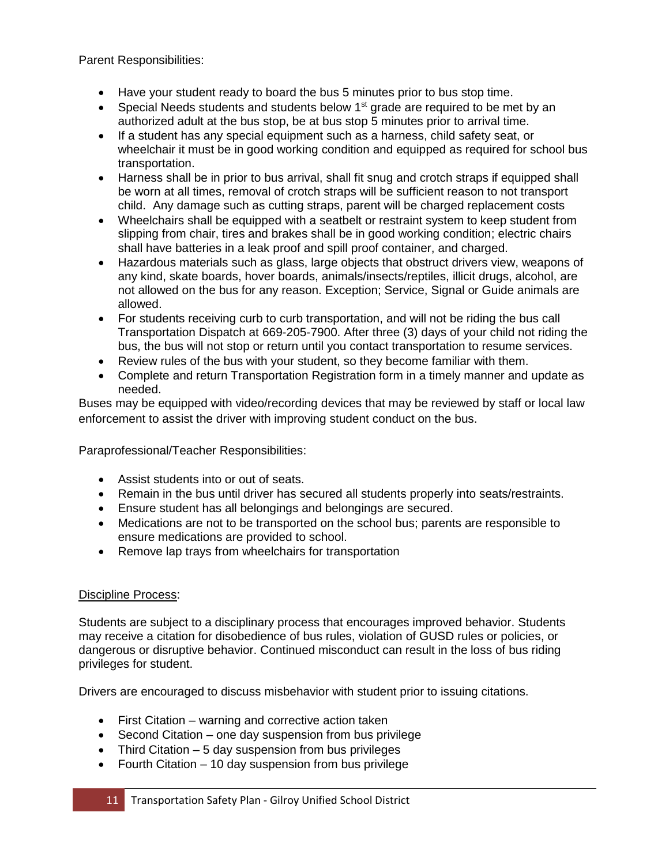Parent Responsibilities:

- Have your student ready to board the bus 5 minutes prior to bus stop time.
- Special Needs students and students below  $1<sup>st</sup>$  grade are required to be met by an authorized adult at the bus stop, be at bus stop 5 minutes prior to arrival time.
- If a student has any special equipment such as a harness, child safety seat, or wheelchair it must be in good working condition and equipped as required for school bus transportation.
- Harness shall be in prior to bus arrival, shall fit snug and crotch straps if equipped shall be worn at all times, removal of crotch straps will be sufficient reason to not transport child. Any damage such as cutting straps, parent will be charged replacement costs
- Wheelchairs shall be equipped with a seatbelt or restraint system to keep student from slipping from chair, tires and brakes shall be in good working condition; electric chairs shall have batteries in a leak proof and spill proof container, and charged.
- Hazardous materials such as glass, large objects that obstruct drivers view, weapons of any kind, skate boards, hover boards, animals/insects/reptiles, illicit drugs, alcohol, are not allowed on the bus for any reason. Exception; Service, Signal or Guide animals are allowed.
- For students receiving curb to curb transportation, and will not be riding the bus call Transportation Dispatch at 669-205-7900. After three (3) days of your child not riding the bus, the bus will not stop or return until you contact transportation to resume services.
- Review rules of the bus with your student, so they become familiar with them.
- Complete and return Transportation Registration form in a timely manner and update as needed.

Buses may be equipped with video/recording devices that may be reviewed by staff or local law enforcement to assist the driver with improving student conduct on the bus.

Paraprofessional/Teacher Responsibilities:

- Assist students into or out of seats.
- Remain in the bus until driver has secured all students properly into seats/restraints.
- Ensure student has all belongings and belongings are secured.
- Medications are not to be transported on the school bus; parents are responsible to ensure medications are provided to school.
- Remove lap trays from wheelchairs for transportation

# Discipline Process:

Students are subject to a disciplinary process that encourages improved behavior. Students may receive a citation for disobedience of bus rules, violation of GUSD rules or policies, or dangerous or disruptive behavior. Continued misconduct can result in the loss of bus riding privileges for student.

Drivers are encouraged to discuss misbehavior with student prior to issuing citations.

- First Citation warning and corrective action taken
- Second Citation one day suspension from bus privilege
- Third Citation 5 day suspension from bus privileges
- Fourth Citation 10 day suspension from bus privilege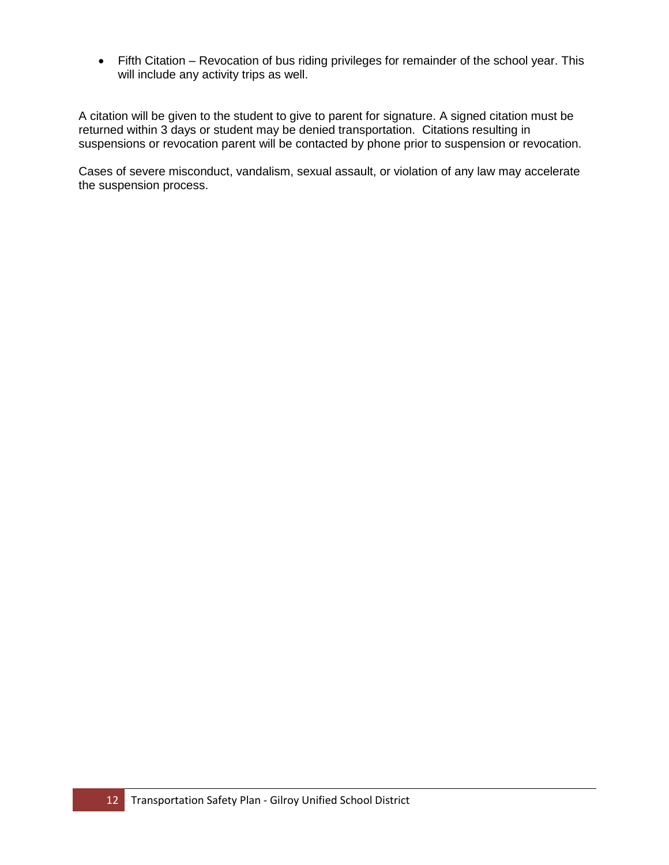• Fifth Citation – Revocation of bus riding privileges for remainder of the school year. This will include any activity trips as well.

A citation will be given to the student to give to parent for signature. A signed citation must be returned within 3 days or student may be denied transportation. Citations resulting in suspensions or revocation parent will be contacted by phone prior to suspension or revocation.

Cases of severe misconduct, vandalism, sexual assault, or violation of any law may accelerate the suspension process.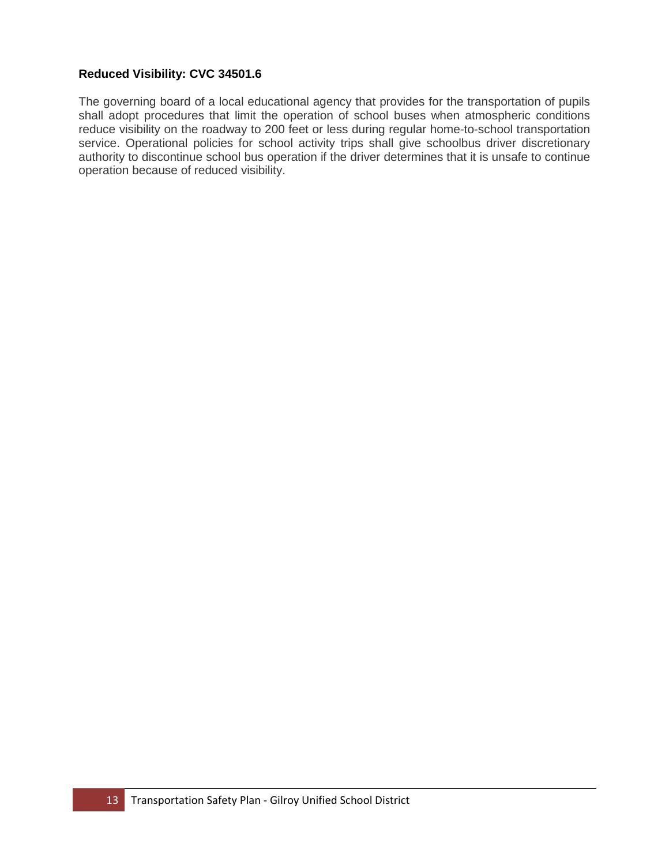#### **Reduced Visibility: CVC 34501.6**

The governing board of a local educational agency that provides for the transportation of pupils shall adopt procedures that limit the operation of school buses when atmospheric conditions reduce visibility on the roadway to 200 feet or less during regular home-to-school transportation service. Operational policies for school activity trips shall give schoolbus driver discretionary authority to discontinue school bus operation if the driver determines that it is unsafe to continue operation because of reduced visibility.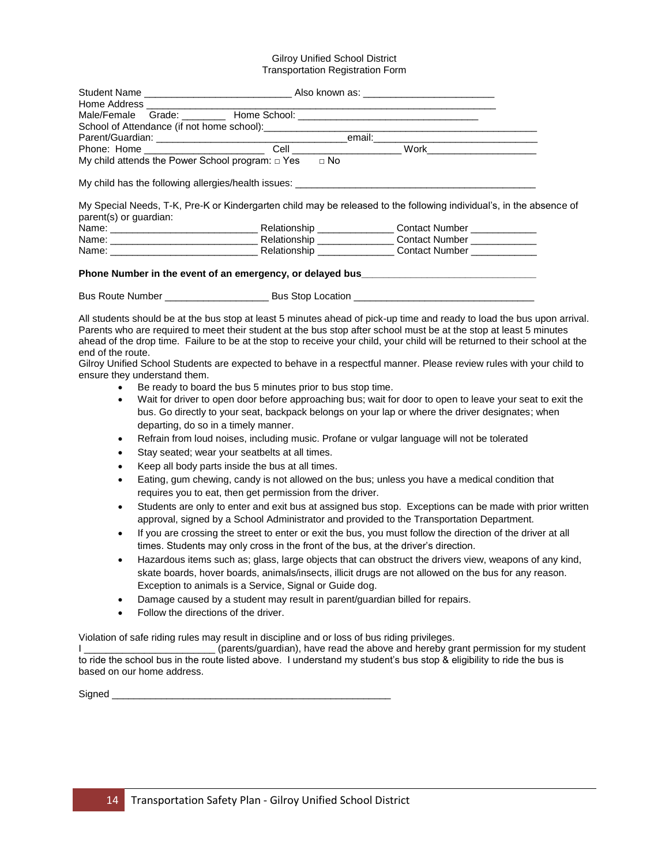#### Gilroy Unified School District Transportation Registration Form

|                        | Also known as: _____________________________                    |                     |  |                                                                                                                     |  |
|------------------------|-----------------------------------------------------------------|---------------------|--|---------------------------------------------------------------------------------------------------------------------|--|
|                        |                                                                 |                     |  |                                                                                                                     |  |
|                        |                                                                 |                     |  |                                                                                                                     |  |
|                        |                                                                 |                     |  |                                                                                                                     |  |
|                        |                                                                 |                     |  |                                                                                                                     |  |
|                        |                                                                 |                     |  | Work__________________________                                                                                      |  |
|                        | My child attends the Power School program: $\Box$ Yes $\Box$ No |                     |  |                                                                                                                     |  |
|                        |                                                                 |                     |  |                                                                                                                     |  |
| parent(s) or guardian: |                                                                 |                     |  | My Special Needs, T-K, Pre-K or Kindergarten child may be released to the following individual's, in the absence of |  |
| $N = 2$                |                                                                 | <b>Deletienship</b> |  | Contact Number                                                                                                      |  |

| Name: | Relationship | <b>Contact Number</b> |
|-------|--------------|-----------------------|
| Name: | Relationship | <b>Contact Number</b> |
| Name: | Relationship | Contact Number        |

#### Phone Number in the event of an emergency, or delayed bus

Bus Route Number \_\_\_\_\_\_\_\_\_\_\_\_\_\_\_\_\_\_\_ Bus Stop Location \_\_\_\_\_\_\_\_\_\_\_\_\_\_\_\_\_\_\_\_\_\_\_\_\_\_\_\_\_\_\_\_\_

All students should be at the bus stop at least 5 minutes ahead of pick-up time and ready to load the bus upon arrival. Parents who are required to meet their student at the bus stop after school must be at the stop at least 5 minutes ahead of the drop time. Failure to be at the stop to receive your child, your child will be returned to their school at the end of the route.

Gilroy Unified School Students are expected to behave in a respectful manner. Please review rules with your child to ensure they understand them.

- Be ready to board the bus 5 minutes prior to bus stop time.
- Wait for driver to open door before approaching bus; wait for door to open to leave your seat to exit the bus. Go directly to your seat, backpack belongs on your lap or where the driver designates; when departing, do so in a timely manner.
- Refrain from loud noises, including music. Profane or vulgar language will not be tolerated
- Stay seated; wear your seatbelts at all times.
- Keep all body parts inside the bus at all times.
- Eating, gum chewing, candy is not allowed on the bus; unless you have a medical condition that requires you to eat, then get permission from the driver.
- Students are only to enter and exit bus at assigned bus stop. Exceptions can be made with prior written approval, signed by a School Administrator and provided to the Transportation Department.
- If you are crossing the street to enter or exit the bus, you must follow the direction of the driver at all times. Students may only cross in the front of the bus, at the driver's direction.
- Hazardous items such as; glass, large objects that can obstruct the drivers view, weapons of any kind, skate boards, hover boards, animals/insects, illicit drugs are not allowed on the bus for any reason. Exception to animals is a Service, Signal or Guide dog.
- Damage caused by a student may result in parent/guardian billed for repairs.
- Follow the directions of the driver.

Violation of safe riding rules may result in discipline and or loss of bus riding privileges.

(parents/guardian), have read the above and hereby grant permission for my student to ride the school bus in the route listed above. I understand my student's bus stop & eligibility to ride the bus is based on our home address.

Signed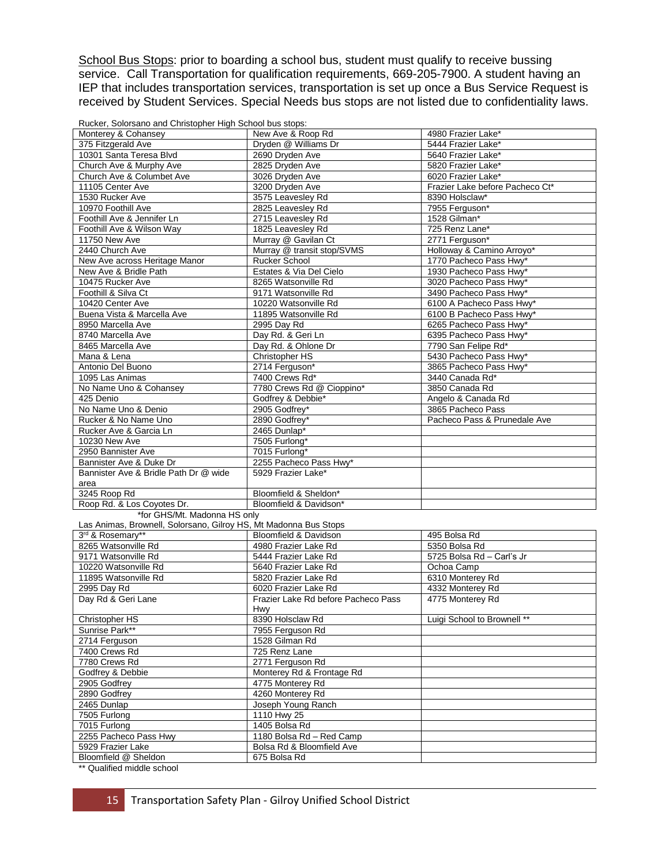School Bus Stops: prior to boarding a school bus, student must qualify to receive bussing service. Call Transportation for qualification requirements, 669-205-7900. A student having an IEP that includes transportation services, transportation is set up once a Bus Service Request is received by Student Services. Special Needs bus stops are not listed due to confidentiality laws.

| Rucker, Solorsano and Christopher High School bus stops:         |                                     |                                 |  |  |  |  |
|------------------------------------------------------------------|-------------------------------------|---------------------------------|--|--|--|--|
| Monterey & Cohansey                                              | New Ave & Roop Rd                   | 4980 Frazier Lake*              |  |  |  |  |
| 375 Fitzgerald Ave                                               | Dryden @ Williams Dr                | 5444 Frazier Lake*              |  |  |  |  |
| 10301 Santa Teresa Blvd                                          | 2690 Dryden Ave                     | 5640 Frazier Lake*              |  |  |  |  |
| Church Ave & Murphy Ave                                          | 2825 Dryden Ave                     | 5820 Frazier Lake*              |  |  |  |  |
| Church Ave & Columbet Ave                                        | 3026 Dryden Ave                     | 6020 Frazier Lake*              |  |  |  |  |
| 11105 Center Ave                                                 | 3200 Dryden Ave                     | Frazier Lake before Pacheco Ct* |  |  |  |  |
| 1530 Rucker Ave                                                  | 3575 Leavesley Rd                   | 8390 Holsclaw*                  |  |  |  |  |
| 10970 Foothill Ave                                               | 2825 Leavesley Rd                   | 7955 Ferguson*                  |  |  |  |  |
| Foothill Ave & Jennifer Ln                                       | 2715 Leavesley Rd                   | 1528 Gilman*                    |  |  |  |  |
| Foothill Ave & Wilson Way                                        | 1825 Leavesley Rd                   | 725 Renz Lane*                  |  |  |  |  |
| <b>11750 New Ave</b>                                             | Murray @ Gavilan Ct                 | 2771 Ferguson*                  |  |  |  |  |
| 2440 Church Ave                                                  | Murray @ transit stop/SVMS          | Holloway & Camino Arroyo*       |  |  |  |  |
| New Ave across Heritage Manor                                    | Rucker School                       | 1770 Pacheco Pass Hwy*          |  |  |  |  |
| New Ave & Bridle Path                                            | Estates & Via Del Cielo             | 1930 Pacheco Pass Hwy*          |  |  |  |  |
| 10475 Rucker Ave                                                 | 8265 Watsonville Rd                 | 3020 Pacheco Pass Hwy*          |  |  |  |  |
| Foothill & Silva Ct                                              | 9171 Watsonville Rd                 | 3490 Pacheco Pass Hwy*          |  |  |  |  |
| 10420 Center Ave                                                 | 10220 Watsonville Rd                | 6100 A Pacheco Pass Hwy*        |  |  |  |  |
| Buena Vista & Marcella Ave                                       | 11895 Watsonville Rd                | 6100 B Pacheco Pass Hwy*        |  |  |  |  |
| 8950 Marcella Ave                                                | 2995 Day Rd                         | 6265 Pacheco Pass Hwy*          |  |  |  |  |
| 8740 Marcella Ave                                                | Day Rd. & Geri Ln                   | 6395 Pacheco Pass Hwy*          |  |  |  |  |
| 8465 Marcella Ave                                                | Day Rd. & Ohlone Dr                 | 7790 San Felipe Rd*             |  |  |  |  |
| Mana & Lena                                                      | Christopher HS                      | 5430 Pacheco Pass Hwy*          |  |  |  |  |
| Antonio Del Buono                                                | 2714 Ferguson*                      | 3865 Pacheco Pass Hwy*          |  |  |  |  |
| 1095 Las Animas                                                  | 7400 Crews Rd*                      | 3440 Canada Rd*                 |  |  |  |  |
| No Name Uno & Cohansey                                           | 7780 Crews Rd @ Cioppino*           | 3850 Canada Rd                  |  |  |  |  |
| 425 Denio                                                        | Godfrey & Debbie*                   | Angelo & Canada Rd              |  |  |  |  |
| No Name Uno & Denio                                              | 2905 Godfrev*                       | 3865 Pacheco Pass               |  |  |  |  |
| Rucker & No Name Uno                                             | 2890 Godfrey*                       | Pacheco Pass & Prunedale Ave    |  |  |  |  |
| Rucker Ave & Garcia Ln                                           | 2465 Dunlap*                        |                                 |  |  |  |  |
| 10230 New Ave                                                    | 7505 Furlong*                       |                                 |  |  |  |  |
| 2950 Bannister Ave                                               | 7015 Furlong*                       |                                 |  |  |  |  |
| Bannister Ave & Duke Dr                                          | 2255 Pacheco Pass Hwy*              |                                 |  |  |  |  |
| Bannister Ave & Bridle Path Dr @ wide                            | 5929 Frazier Lake*                  |                                 |  |  |  |  |
| area                                                             |                                     |                                 |  |  |  |  |
| 3245 Roop Rd                                                     | Bloomfield & Sheldon*               |                                 |  |  |  |  |
| Roop Rd. & Los Coyotes Dr.                                       | Bloomfield & Davidson*              |                                 |  |  |  |  |
| *for GHS/Mt. Madonna HS only                                     |                                     |                                 |  |  |  |  |
| Las Animas, Brownell, Solorsano, Gilroy HS, Mt Madonna Bus Stops |                                     |                                 |  |  |  |  |
| 3rd & Rosemary**                                                 | <b>Bloomfield &amp; Davidson</b>    | 495 Bolsa Rd                    |  |  |  |  |
| 8265 Watsonville Rd                                              | 4980 Frazier Lake Rd                | 5350 Bolsa Rd                   |  |  |  |  |
| 9171 Watsonville Rd                                              | 5444 Frazier Lake Rd                | 5725 Bolsa Rd - Carl's Jr       |  |  |  |  |
| 10220 Watsonville Rd                                             | 5640 Frazier Lake Rd                | Ochoa Camp                      |  |  |  |  |
| 11895 Watsonville Rd                                             | 5820 Frazier Lake Rd                | 6310 Monterey Rd                |  |  |  |  |
| 2995 Day Rd                                                      | 6020 Frazier Lake Rd                | 4332 Monterey Rd                |  |  |  |  |
| Day Rd & Geri Lane                                               | Frazier Lake Rd before Pacheco Pass | 4775 Monterey Rd                |  |  |  |  |
|                                                                  | Hwy                                 |                                 |  |  |  |  |
| Christopher HS                                                   | 8390 Holsclaw Rd                    | Luigi School to Brownell **     |  |  |  |  |
| Sunrise Park**                                                   | 7955 Ferguson Rd                    |                                 |  |  |  |  |
| 2714 Ferguson                                                    | 1528 Gilman Rd                      |                                 |  |  |  |  |
| 7400 Crews Rd                                                    | 725 Renz Lane                       |                                 |  |  |  |  |
| 7780 Crews Rd                                                    | 2771 Ferguson Rd                    |                                 |  |  |  |  |
| Godfrey & Debbie                                                 | Monterey Rd & Frontage Rd           |                                 |  |  |  |  |
| 2905 Godfrey                                                     | 4775 Monterey Rd                    |                                 |  |  |  |  |
|                                                                  |                                     |                                 |  |  |  |  |
| 2890 Godfrey                                                     | 4260 Monterey Rd                    |                                 |  |  |  |  |
| 2465 Dunlap                                                      | Joseph Young Ranch                  |                                 |  |  |  |  |
| 7505 Furlong                                                     | 1110 Hwy 25                         |                                 |  |  |  |  |
| 7015 Furlong                                                     | 1405 Bolsa Rd                       |                                 |  |  |  |  |
| 2255 Pacheco Pass Hwy                                            | 1180 Bolsa Rd - Red Camp            |                                 |  |  |  |  |
| 5929 Frazier Lake                                                | Bolsa Rd & Bloomfield Ave           |                                 |  |  |  |  |
| Bloomfield @ Sheldon                                             | 675 Bolsa Rd                        |                                 |  |  |  |  |

\*\* Qualified middle school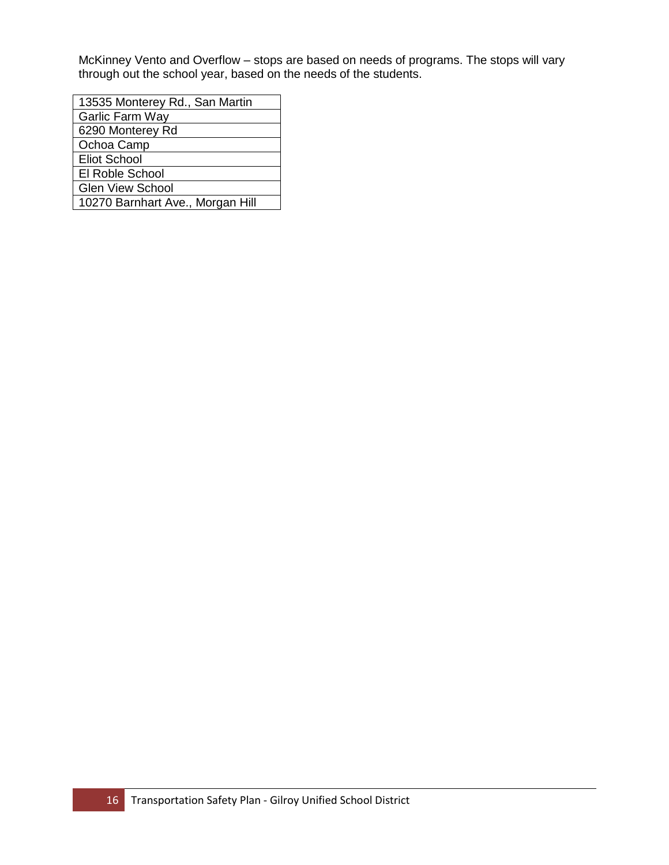McKinney Vento and Overflow – stops are based on needs of programs. The stops will vary through out the school year, based on the needs of the students.

| 13535 Monterey Rd., San Martin   |
|----------------------------------|
| Garlic Farm Way                  |
| 6290 Monterey Rd                 |
| Ochoa Camp                       |
| <b>Eliot School</b>              |
| El Roble School                  |
| <b>Glen View School</b>          |
| 10270 Barnhart Ave., Morgan Hill |